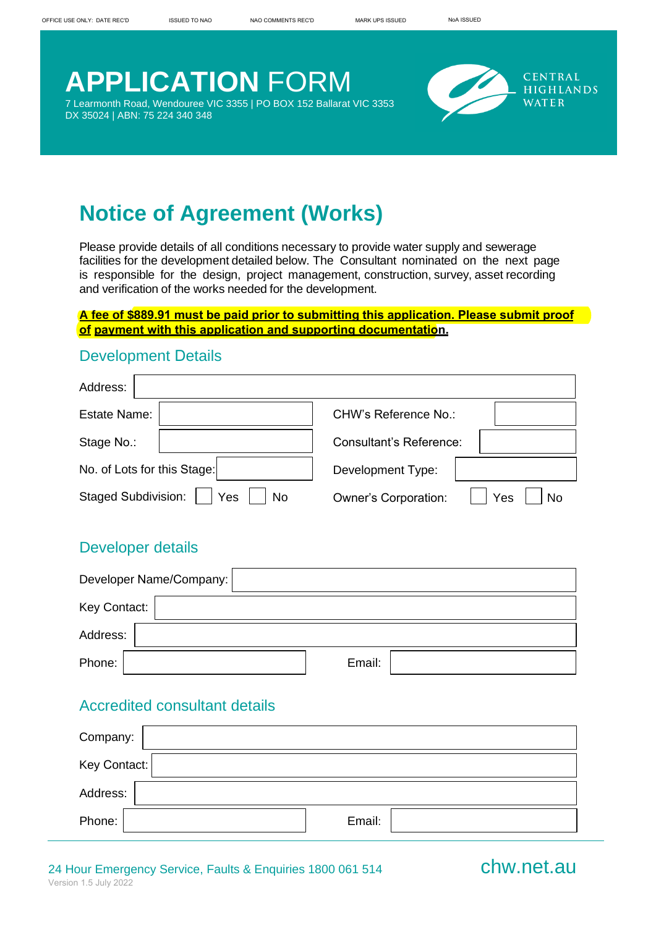# **APPLICATION** FORM

7 Learmonth Road, Wendouree VIC 3355 | PO BOX 152 Ballarat VIC 3353 DX 35024 | ABN: 75 224 340 348



# **Notice of Agreement (Works)**

Please provide details of all conditions necessary to provide water supply and sewerage facilities for the development detailed below. The Consultant nominated on the next page is responsible for the design, project management, construction, survey, asset recording and verification of the works needed for the development.

#### **A fee of \$889.91 must be paid prior to submitting this application. Please submit proof of payment with this application and supporting documentation.**

#### Development Details

| Address:                                       |                                          |
|------------------------------------------------|------------------------------------------|
| <b>Estate Name:</b>                            | CHW's Reference No.:                     |
| Stage No.:                                     | <b>Consultant's Reference:</b>           |
| No. of Lots for this Stage:                    | <b>Development Type:</b>                 |
| <b>Staged Subdivision:</b><br>Yes<br><b>No</b> | <b>Owner's Corporation:</b><br>Yes<br>No |

#### Developer details

|              | Developer Name/Company: |        |  |
|--------------|-------------------------|--------|--|
| Key Contact: |                         |        |  |
| Address:     |                         |        |  |
| Phone:       |                         | Email: |  |

### Accredited consultant details

| Company:     |        |
|--------------|--------|
| Key Contact: |        |
| Address:     |        |
| Phone:       | Email: |

#### 24 Hour Emergency Service, Faults & Enquiries 1800 061 514 **chw.net.au** Version 1.5 July 2022